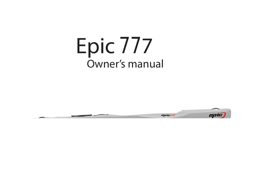# Epic 777 Owner's manual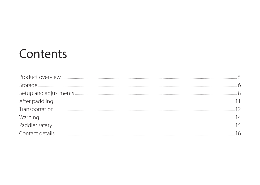### Contents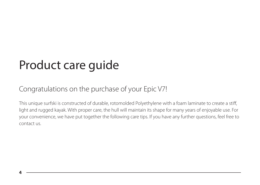# Product care guide

### Congratulations on the purchase of your Epic V7!

This unique surfski is constructed of durable, rotomolded Polyethylene with a foam laminate to create a stiff, light and rugged kayak. With proper care, the hull will maintain its shape for many years of enjoyable use. For your convenience, we have put together the following care tips. If you have any further questions, feel free to contact us.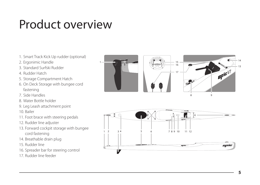### Product overview

- 1. Smart Track Kick Up rudder (optional)
- 2. Ergonimic Handle
- 3. Standard Surfski Rudder
- 4. Rudder Hatch
- 5. Storage Compartment Hatch
- 6. On Deck Storage with bungee cord fastening
- 7. Side Handles
- 8. Water Bottle holder
- 9. Leg Leash attachment point
- 10. Bailer
- 11. Foot brace with steering pedals
- 12. Rudder line adjuster
- 13. Forward cockpit storage with bungee cord fastening
- 14. Breathable drain plug
- 15. Rudder line
- 16. Spreader bar for steering control
- 17. Rudder line feeder



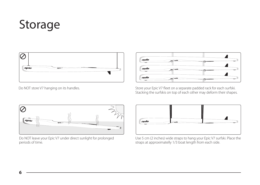# Storage



Do NOT store V7 hanging on its handles.



Store your Epic V7 fleet on a separate padded rack for each surfski. Stacking the surfskis on top of each other may deform their shapes.



Do NOT leave your Epic V7 under direct sunlight for prolonged periods of time.



Use 5 cm (2 inches) wide straps to hang your Epic V7 surfski. Place the straps at approximatelly 1/3 boat length from each side.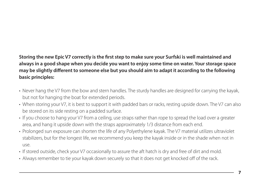### **Storing the new Epic V7 correctly is the first step to make sure your Surfski is well maintained and always in a good shape when you decide you want to enjoy some time on water. Your storage space may be slightly different to someone else but you should aim to adapt it according to the following basic principles:**

- Never hang the V7 from the bow and stern handles. The sturdy handles are designed for carrying the kayak, but not for hanging the boat for extended periods.
- When storing your V7, it is best to support it with padded bars or racks, resting upside down. The V7 can also be stored on its side resting on a padded surface.
- If you choose to hang your V7 from a ceiling, use straps rather than rope to spread the load over a greater area, and hang it upside down with the straps approximately 1/3 distance from each end.
- Prolonged sun exposure can shorten the life of any Polyethylene kayak. The V7 material utilizes ultraviolet stabilizers, but for the longest life, we recommend you keep the kayak inside or in the shade when not in use.
- If stored outside, check your V7 occasionally to assure the aft hatch is dry and free of dirt and mold.
- Always remember to tie your kayak down securely so that it does not get knocked off of the rack.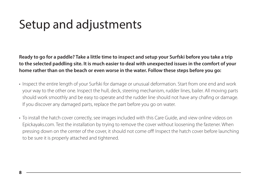## Setup and adjustments

**Ready to go for a paddle? Take a little time to inspect and setup your Surfski before you take a trip to the selected paddling site. It is much easier to deal with unexpected issues in the comfort of your home rather than on the beach or even worse in the water. Follow these steps before you go:**

- Inspect the entire length of your Surfski for damage or unusual deformation. Start from one end and work your way to the other one. Inspect the hull, deck, steering mechanism, rudder lines, bailer. All moving parts should work smoothly and be easy to operate and the rudder line should not have any chafing or damage. If you discover any damaged parts, replace the part before you go on water.
- To install the hatch cover correctly, see images included with this Care Guide, and view online videos on Epickayaks.com. Test the installation by trying to remove the cover without loosening the fastener. When pressing down on the center of the cover, it should not come off! Inspect the hatch cover before launching to be sure it is properly attached and tightened.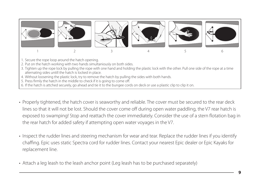

- Properly tightened, the hatch cover is seaworthy and reliable. The cover must be secured to the rear deck lines so that it will not be lost. Should the cover come off during open water paddling, the V7 rear hatch is exposed to swamping! Stop and reattach the cover immediately. Consider the use of a stern flotation bag in the rear hatch for added safety if attempting open water voyages in the V7.
- Inspect the rudder lines and steering mechanism for wear and tear. Replace the rudder lines if you identify chaffing. Epic uses static Spectra cord for rudder lines. Contact your nearest Epic dealer or Epic Kayaks for replacement line.
- Attach a leg leash to the leash anchor point (Leg leash has to be purchased separately)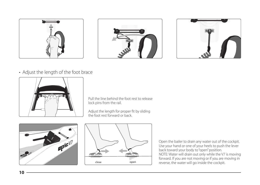





• Adjust the length of the foot brace



Pull the line behind the foot rest to release lock pins from the rail.

Adjust the length for proper fit by sliding the foot rest forward or back.



**10**



Open the bailer to drain any water out of the cockpit. Use your hand or one of your heels to push the lever back toward your body to "open" position. NOTE: Water will drain out only while the V7 is moving forward. If you are not moving or if you are moving in reverse, the water will go inside the cockpit.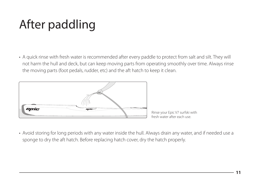# After paddling

• A quick rinse with fresh water is recommended after every paddle to protect from salt and silt. They will not harm the hull and deck, but can keep moving parts from operating smoothly over time. Always rinse the moving parts (foot pedals, rudder, etc) and the aft hatch to keep it clean.



Rinse your Epic V7 surfski with fresh water after each use.

• Avoid storing for long periods with any water inside the hull. Always drain any water, and if needed use a sponge to dry the aft hatch. Before replacing hatch cover, dry the hatch properly.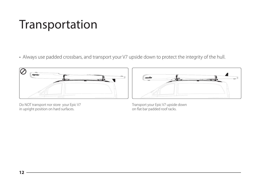### Transportation

• Always use padded crossbars, and transport your V7 upside down to protect the integrity of the hull.



Do NOT transport nor store your Epic V7 in upright position on hard surfaces.



Transport your Epic V7 upside down on flat bar padded roof racks.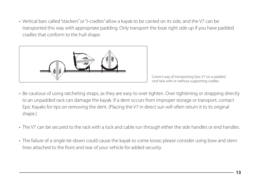• Vertical bars called "stackers" or "J-cradles" allow a kayak to be carried on its side, and the V7 can be transported this way with appropriate padding. Only transport the boat right side up if you have padded cradles that conform to the hull shape.



Correct way of transporting Epic V7 on a padded roof rack with or without supporting cradles.

- Be cautious of using ratcheting straps, as they are easy to over tighten. Over tightening or strapping directly to an unpadded rack can damage the kayak. If a dent occurs from improper storage or transport, contact Epic Kayaks for tips on removing the dent. (Placing the V7 in direct sun will often return it to its original shape.)
- The V7 can be secured to the rack with a lock and cable run through either the side handles or end handles.
- The failure of a single tie-down could cause the kayak to come loose; please consider using bow and stern lines attached to the front and rear of your vehicle for added security.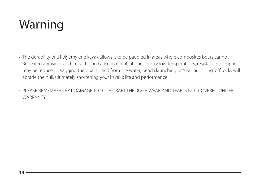# Warning

- The durability of a Polyethylene kayak allows it to be paddled in areas where composites boats cannot. Repeated abrasions and impacts can cause material fatigue. In very low temperatures, resistance to impact may be reduced. Dragging the boat to and from the water, beach launching or "seal launching" off rocks will abrade the hull, ultimately shortening your kayak's life and performance.
- PLEASE REMEMBER THAT DAMAGE TO YOUR CRAFT THROUGH WEAR AND TEAR IS NOT COVERED UNDER **WARRANTY**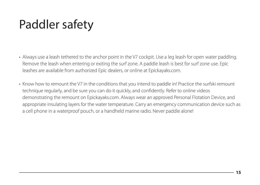# Paddler safety

- Always use a leash tethered to the anchor point in the V7 cockpit. Use a leg leash for open water paddling. Remove the leash when entering or exiting the surf zone. A paddle leash is best for surf zone use. Epic leashes are available from authorized Epic dealers, or online at Epickayaks.com.
- Know how to remount the V7 in the conditions that you intend to paddle in! Practice the surfski remount technique regularly, and be sure you can do it quickly, and confidently. Refer to online videos demonstrating the remount on Epickayaks.com. Always wear an approved Personal Flotation Device, and appropriate insulating layers for the water temperature. Carry an emergency communication device such as a cell phone in a waterproof pouch, or a handheld marine radio. Never paddle alone!